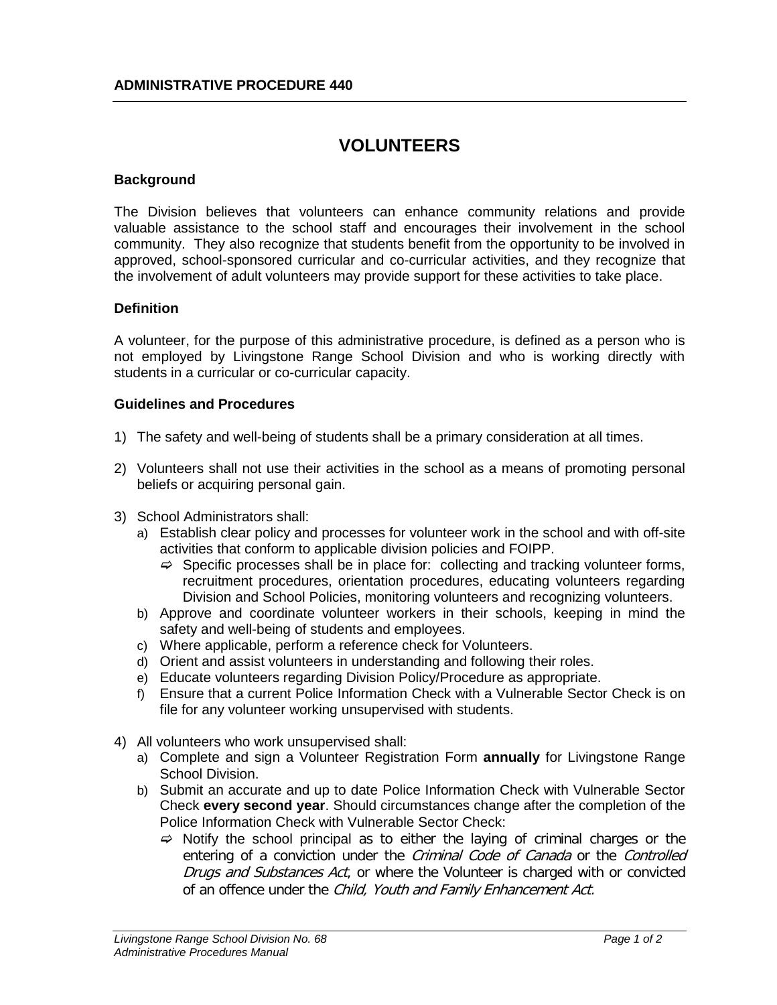### **VOLUNTEERS**

#### **Background**

The Division believes that volunteers can enhance community relations and provide valuable assistance to the school staff and encourages their involvement in the school community. They also recognize that students benefit from the opportunity to be involved in approved, school-sponsored curricular and co-curricular activities, and they recognize that the involvement of adult volunteers may provide support for these activities to take place.

#### **Definition**

A volunteer, for the purpose of this administrative procedure, is defined as a person who is not employed by Livingstone Range School Division and who is working directly with students in a curricular or co-curricular capacity.

#### **Guidelines and Procedures**

- 1) The safety and well-being of students shall be a primary consideration at all times.
- 2) Volunteers shall not use their activities in the school as a means of promoting personal beliefs or acquiring personal gain.
- 3) School Administrators shall:
	- a) Establish clear policy and processes for volunteer work in the school and with off-site activities that conform to applicable division policies and FOIPP.
		- $\Rightarrow$  Specific processes shall be in place for: collecting and tracking volunteer forms, recruitment procedures, orientation procedures, educating volunteers regarding Division and School Policies, monitoring volunteers and recognizing volunteers.
	- b) Approve and coordinate volunteer workers in their schools, keeping in mind the safety and well-being of students and employees.
	- c) Where applicable, perform a reference check for Volunteers.
	- d) Orient and assist volunteers in understanding and following their roles.
	- e) Educate volunteers regarding Division Policy/Procedure as appropriate.
	- f) Ensure that a current Police Information Check with a Vulnerable Sector Check is on file for any volunteer working unsupervised with students.
- 4) All volunteers who work unsupervised shall:
	- a) Complete and sign a Volunteer Registration Form **annually** for Livingstone Range School Division.
	- b) Submit an accurate and up to date Police Information Check with Vulnerable Sector Check **every second year**. Should circumstances change after the completion of the Police Information Check with Vulnerable Sector Check:
		- $\Rightarrow$  Notify the school principal as to either the laying of criminal charges or the entering of a conviction under the *Criminal Code of Canada* or the *Controlled* Drugs and Substances Act, or where the Volunteer is charged with or convicted of an offence under the Child, Youth and Family Enhancement Act.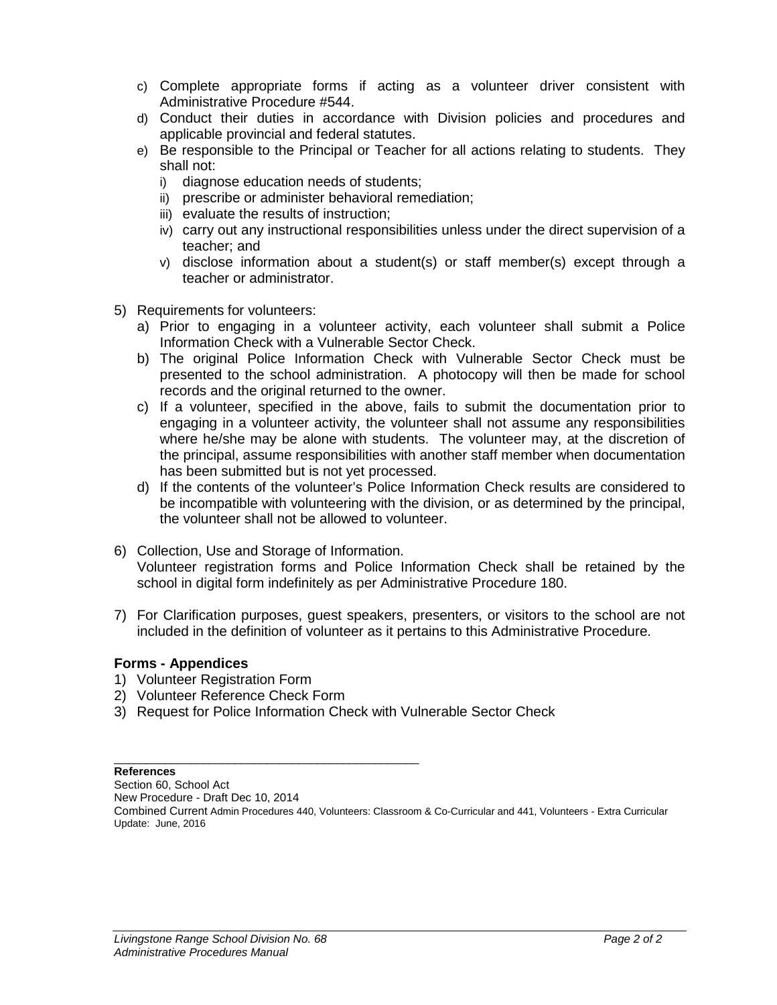- c) Complete appropriate forms if acting as a volunteer driver consistent with Administrative Procedure #544.
- d) Conduct their duties in accordance with Division policies and procedures and applicable provincial and federal statutes.
- e) Be responsible to the Principal or Teacher for all actions relating to students. They shall not:
	- i) diagnose education needs of students;
	- ii) prescribe or administer behavioral remediation;
	- iii) evaluate the results of instruction;
	- iv) carry out any instructional responsibilities unless under the direct supervision of a teacher; and
	- v) disclose information about a student(s) or staff member(s) except through a teacher or administrator.
- 5) Requirements for volunteers:
	- a) Prior to engaging in a volunteer activity, each volunteer shall submit a Police Information Check with a Vulnerable Sector Check.
	- b) The original Police Information Check with Vulnerable Sector Check must be presented to the school administration. A photocopy will then be made for school records and the original returned to the owner.
	- c) If a volunteer, specified in the above, fails to submit the documentation prior to engaging in a volunteer activity, the volunteer shall not assume any responsibilities where he/she may be alone with students. The volunteer may, at the discretion of the principal, assume responsibilities with another staff member when documentation has been submitted but is not yet processed.
	- d) If the contents of the volunteer's Police Information Check results are considered to be incompatible with volunteering with the division, or as determined by the principal, the volunteer shall not be allowed to volunteer.
- 6) Collection, Use and Storage of Information. Volunteer registration forms and Police Information Check shall be retained by the school in digital form indefinitely as per Administrative Procedure 180.
- 7) For Clarification purposes, guest speakers, presenters, or visitors to the school are not included in the definition of volunteer as it pertains to this Administrative Procedure.

### **Forms - Appendices**

- 1) Volunteer Registration Form
- 2) Volunteer Reference Check Form
- 3) Request for Police Information Check with Vulnerable Sector Check

#### \_\_\_\_\_\_\_\_\_\_\_\_\_\_\_\_\_\_\_\_\_\_\_\_\_\_\_\_\_\_\_\_\_\_\_\_\_\_\_\_\_\_\_\_\_\_\_\_ **References**

Section 60, School Act New Procedure - Draft Dec 10, 2014 Combined Current Admin Procedures 440, Volunteers: Classroom & Co-Curricular and 441, Volunteers - Extra Curricular Update: June, 2016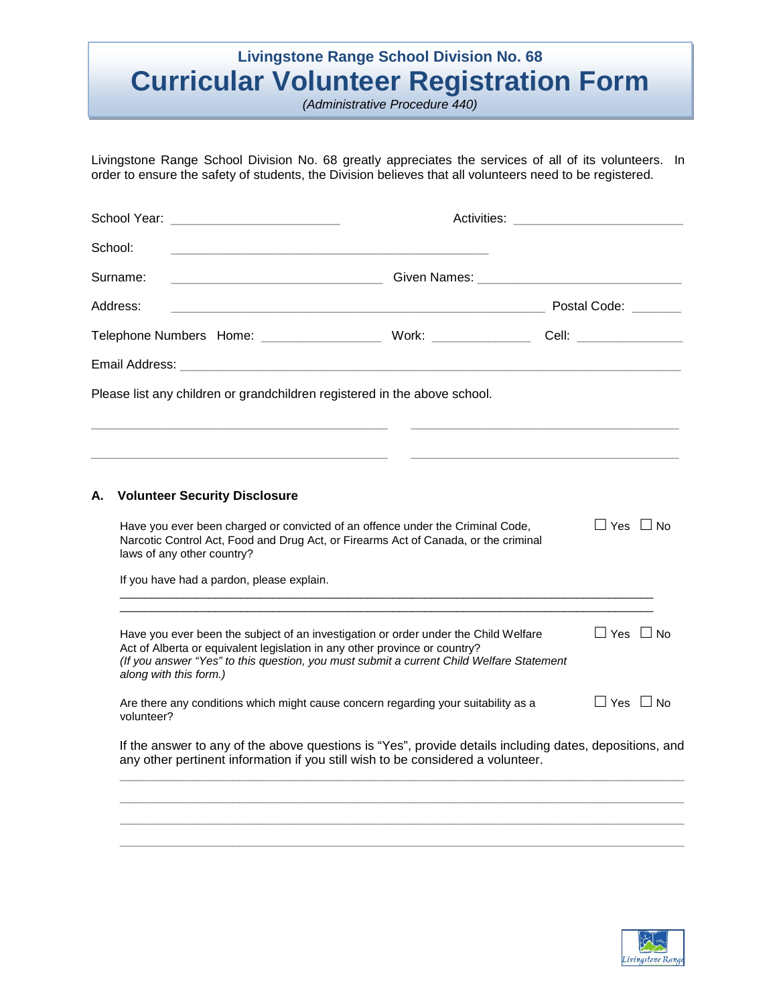# **Livingstone Range School Division No. 68 Curricular Volunteer Registration Form**

*(Administrative Procedure 440)*

Livingstone Range School Division No. 68 greatly appreciates the services of all of its volunteers. In order to ensure the safety of students, the Division believes that all volunteers need to be registered.

|                                                                                                                                  | School:                                                                                                                                                                                                                                                       |                                                                                                                                                                                                                                |  |                      |  |  |
|----------------------------------------------------------------------------------------------------------------------------------|---------------------------------------------------------------------------------------------------------------------------------------------------------------------------------------------------------------------------------------------------------------|--------------------------------------------------------------------------------------------------------------------------------------------------------------------------------------------------------------------------------|--|----------------------|--|--|
| Surname:<br><u> 1980 - Jan James James, martin de filozof, martin de filozof, martin de filozof, martin de filozof, martin d</u> |                                                                                                                                                                                                                                                               | Given Names: William School and The Contract of the Contract of the Contract of the Contract of the Contract of the Contract of the Contract of the Contract of the Contract of the Contract of the Contract of the Contract o |  |                      |  |  |
|                                                                                                                                  | Address:                                                                                                                                                                                                                                                      |                                                                                                                                                                                                                                |  |                      |  |  |
|                                                                                                                                  |                                                                                                                                                                                                                                                               |                                                                                                                                                                                                                                |  |                      |  |  |
|                                                                                                                                  | Email Address: North American Communication of the Communication of the Communication of the Communication of                                                                                                                                                 |                                                                                                                                                                                                                                |  |                      |  |  |
|                                                                                                                                  | Please list any children or grandchildren registered in the above school.                                                                                                                                                                                     |                                                                                                                                                                                                                                |  |                      |  |  |
|                                                                                                                                  |                                                                                                                                                                                                                                                               |                                                                                                                                                                                                                                |  |                      |  |  |
|                                                                                                                                  |                                                                                                                                                                                                                                                               |                                                                                                                                                                                                                                |  |                      |  |  |
| Α.                                                                                                                               | <b>Volunteer Security Disclosure</b>                                                                                                                                                                                                                          |                                                                                                                                                                                                                                |  |                      |  |  |
|                                                                                                                                  | Have you ever been charged or convicted of an offence under the Criminal Code,<br>Narcotic Control Act, Food and Drug Act, or Firearms Act of Canada, or the criminal<br>laws of any other country?                                                           | $\Box$ Yes $\Box$ No                                                                                                                                                                                                           |  |                      |  |  |
|                                                                                                                                  | If you have had a pardon, please explain.                                                                                                                                                                                                                     |                                                                                                                                                                                                                                |  |                      |  |  |
|                                                                                                                                  | Have you ever been the subject of an investigation or order under the Child Welfare<br>Act of Alberta or equivalent legislation in any other province or country?<br>(If you answer "Yes" to this question, you must submit a current Child Welfare Statement | $\Box$ Yes $\Box$ No                                                                                                                                                                                                           |  |                      |  |  |
|                                                                                                                                  | along with this form.)                                                                                                                                                                                                                                        |                                                                                                                                                                                                                                |  |                      |  |  |
|                                                                                                                                  | volunteer?                                                                                                                                                                                                                                                    | Are there any conditions which might cause concern regarding your suitability as a                                                                                                                                             |  | $\Box$ Yes $\Box$ No |  |  |

 $\overline{\phantom{a}}$  ,  $\overline{\phantom{a}}$  ,  $\overline{\phantom{a}}$  ,  $\overline{\phantom{a}}$  ,  $\overline{\phantom{a}}$  ,  $\overline{\phantom{a}}$  ,  $\overline{\phantom{a}}$  ,  $\overline{\phantom{a}}$  ,  $\overline{\phantom{a}}$  ,  $\overline{\phantom{a}}$  ,  $\overline{\phantom{a}}$  ,  $\overline{\phantom{a}}$  ,  $\overline{\phantom{a}}$  ,  $\overline{\phantom{a}}$  ,  $\overline{\phantom{a}}$  ,  $\overline{\phantom{a}}$ 

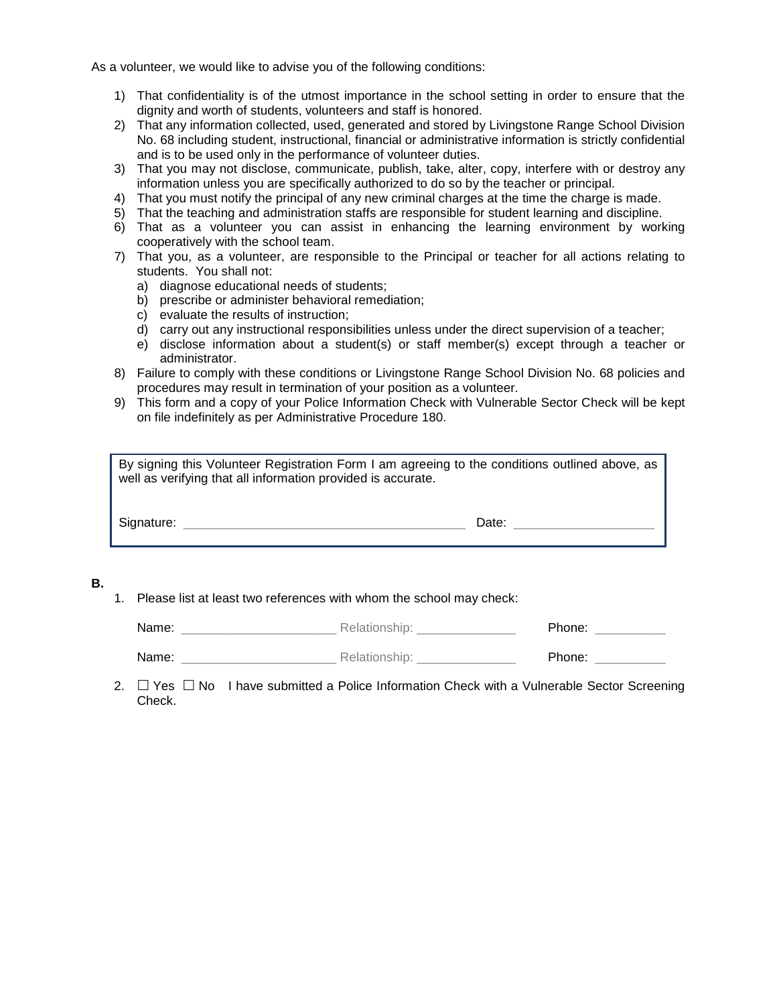As a volunteer, we would like to advise you of the following conditions:

- 1) That confidentiality is of the utmost importance in the school setting in order to ensure that the dignity and worth of students, volunteers and staff is honored.
- 2) That any information collected, used, generated and stored by Livingstone Range School Division No. 68 including student, instructional, financial or administrative information is strictly confidential and is to be used only in the performance of volunteer duties.
- 3) That you may not disclose, communicate, publish, take, alter, copy, interfere with or destroy any information unless you are specifically authorized to do so by the teacher or principal.
- 4) That you must notify the principal of any new criminal charges at the time the charge is made.
- 5) That the teaching and administration staffs are responsible for student learning and discipline.
- 6) That as a volunteer you can assist in enhancing the learning environment by working cooperatively with the school team.
- 7) That you, as a volunteer, are responsible to the Principal or teacher for all actions relating to students. You shall not:
	- a) diagnose educational needs of students;
	- b) prescribe or administer behavioral remediation;
	- c) evaluate the results of instruction;
	- d) carry out any instructional responsibilities unless under the direct supervision of a teacher;
	- e) disclose information about a student(s) or staff member(s) except through a teacher or administrator.
- 8) Failure to comply with these conditions or Livingstone Range School Division No. 68 policies and procedures may result in termination of your position as a volunteer.
- 9) This form and a copy of your Police Information Check with Vulnerable Sector Check will be kept on file indefinitely as per Administrative Procedure 180.

| By signing this Volunteer Registration Form I am agreeing to the conditions outlined above, as<br>well as verifying that all information provided is accurate. |       |  |
|----------------------------------------------------------------------------------------------------------------------------------------------------------------|-------|--|
| Signature:                                                                                                                                                     | Date: |  |

### **B.**

1. Please list at least two references with whom the school may check:

| Name: | Relationship: | Phone: |  |
|-------|---------------|--------|--|
|       |               |        |  |

| Name: | Relationship: | Phone: |
|-------|---------------|--------|
|-------|---------------|--------|

2.  $\Box$  Yes  $\Box$  No I have submitted a Police Information Check with a Vulnerable Sector Screening Check.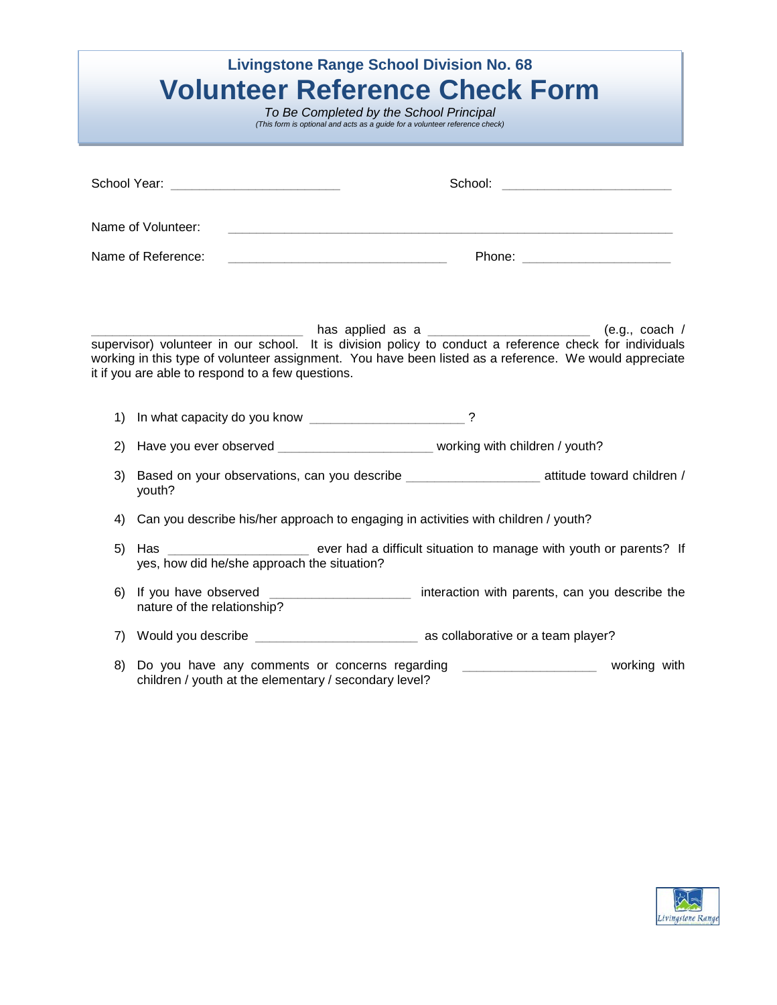| <b>Livingstone Range School Division No. 68</b><br><b>Volunteer Reference Check Form</b><br>To Be Completed by the School Principal<br>(This form is optional and acts as a guide for a volunteer reference check) |                                                                                                            |                                                                                                                                                                                                                                                                                                                                               |  |  |
|--------------------------------------------------------------------------------------------------------------------------------------------------------------------------------------------------------------------|------------------------------------------------------------------------------------------------------------|-----------------------------------------------------------------------------------------------------------------------------------------------------------------------------------------------------------------------------------------------------------------------------------------------------------------------------------------------|--|--|
|                                                                                                                                                                                                                    |                                                                                                            |                                                                                                                                                                                                                                                                                                                                               |  |  |
|                                                                                                                                                                                                                    | Name of Volunteer:                                                                                         |                                                                                                                                                                                                                                                                                                                                               |  |  |
| Name of Reference:                                                                                                                                                                                                 |                                                                                                            |                                                                                                                                                                                                                                                                                                                                               |  |  |
| 1)                                                                                                                                                                                                                 | it if you are able to respond to a few questions.                                                          | Letting thas applied as a <u>Letting and the set of the set of the set of the set of the set of the set of the set o</u><br>supervisor) volunteer in our school. It is division policy to conduct a reference check for individuals<br>working in this type of volunteer assignment. You have been listed as a reference. We would appreciate |  |  |
| 2)                                                                                                                                                                                                                 |                                                                                                            | Have you ever observed ___________________________ working with children / youth?                                                                                                                                                                                                                                                             |  |  |
| 3)                                                                                                                                                                                                                 | Based on your observations, can you describe ________________________ attitude toward children /<br>youth? |                                                                                                                                                                                                                                                                                                                                               |  |  |
| 4)                                                                                                                                                                                                                 | Can you describe his/her approach to engaging in activities with children / youth?                         |                                                                                                                                                                                                                                                                                                                                               |  |  |
| 5)                                                                                                                                                                                                                 | yes, how did he/she approach the situation?                                                                | Has _____________________________ ever had a difficult situation to manage with youth or parents? If                                                                                                                                                                                                                                          |  |  |
| 6)                                                                                                                                                                                                                 | nature of the relationship?                                                                                | If you have observed ______________________ interaction with parents, can you describe the                                                                                                                                                                                                                                                    |  |  |
| 7)                                                                                                                                                                                                                 |                                                                                                            |                                                                                                                                                                                                                                                                                                                                               |  |  |
| 8)                                                                                                                                                                                                                 | Do you have any comments or concerns regarding<br>children / youth at the elementary / secondary level?    | working with                                                                                                                                                                                                                                                                                                                                  |  |  |